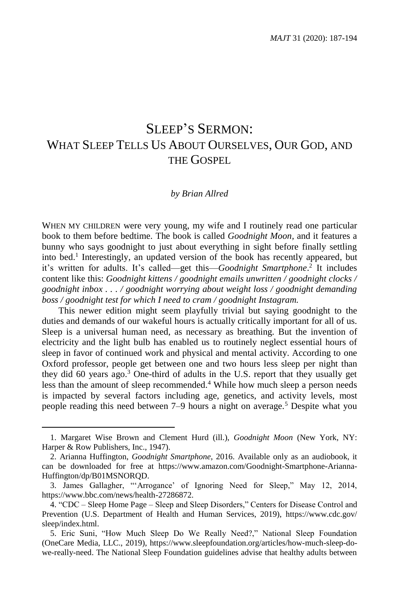# SLEEP'S SERMON: WHAT SLEEP TELLS US ABOUT OURSELVES, OUR GOD, AND THE GOSPEL

#### *by Brian Allred*

WHEN MY CHILDREN were very young, my wife and I routinely read one particular book to them before bedtime. The book is called *Goodnight Moon,* and it features a bunny who says goodnight to just about everything in sight before finally settling into bed. 1 Interestingly, an updated version of the book has recently appeared, but it's written for adults. It's called—get this—*Goodnight Smartphone*. 2 It includes content like this: *Goodnight kittens / goodnight emails unwritten / goodnight clocks / goodnight inbox . . . / goodnight worrying about weight loss / goodnight demanding boss / goodnight test for which I need to cram / goodnight Instagram.*

This newer edition might seem playfully trivial but saying goodnight to the duties and demands of our wakeful hours is actually critically important for all of us. Sleep is a universal human need, as necessary as breathing. But the invention of electricity and the light bulb has enabled us to routinely neglect essential hours of sleep in favor of continued work and physical and mental activity. According to one Oxford professor, people get between one and two hours less sleep per night than they did 60 years ago.<sup>3</sup> One-third of adults in the U.S. report that they usually get less than the amount of sleep recommended.<sup>4</sup> While how much sleep a person needs is impacted by several factors including age, genetics, and activity levels, most people reading this need between 7–9 hours a night on average.<sup>5</sup> Despite what you

<sup>1.</sup> Margaret Wise Brown and Clement Hurd (ill.), *Goodnight Moon* (New York, NY: Harper & Row Publishers, Inc., 1947).

<sup>2.</sup> Arianna Huffington, *Goodnight Smartphone*, 2016. Available only as an audiobook, it can be downloaded for free at https://www.amazon.com/Goodnight-Smartphone-Arianna-Huffington/dp/B01MSNORQD.

<sup>3.</sup> James Gallagher, "'Arrogance' of Ignoring Need for Sleep," May 12, 2014, https://www.bbc.com/news/health-27286872.

<sup>4.</sup> "CDC – Sleep Home Page – Sleep and Sleep Disorders," Centers for Disease Control and Prevention (U.S. Department of Health and Human Services, 2019), https://www.cdc.gov/ sleep/index.html.

<sup>5.</sup> Eric Suni, "How Much Sleep Do We Really Need?," National Sleep Foundation (OneCare Media, LLC., 2019), https://www.sleepfoundation.org/articles/how-much-sleep-dowe-really-need. The National Sleep Foundation guidelines advise that healthy adults between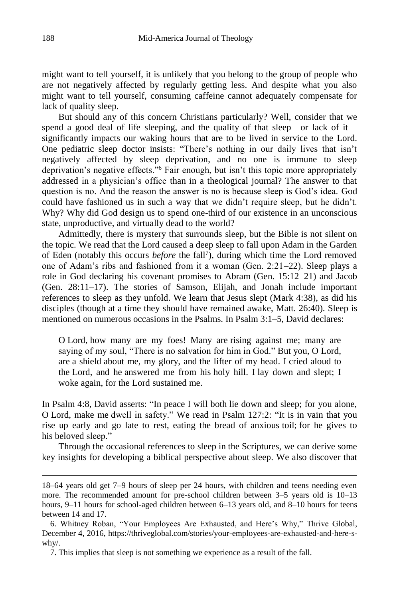might want to tell yourself, it is unlikely that you belong to the group of people who are not negatively affected by regularly getting less. And despite what you also might want to tell yourself, consuming caffeine cannot adequately compensate for lack of quality sleep.

But should any of this concern Christians particularly? Well, consider that we spend a good deal of life sleeping, and the quality of that sleep—or lack of it significantly impacts our waking hours that are to be lived in service to the Lord. One pediatric sleep doctor insists: "There's nothing in our daily lives that isn't negatively affected by sleep deprivation, and no one is immune to sleep deprivation's negative effects."<sup>6</sup> Fair enough, but isn't this topic more appropriately addressed in a physician's office than in a theological journal? The answer to that question is no. And the reason the answer is no is because sleep is God's idea. God could have fashioned us in such a way that we didn't require sleep, but he didn't. Why? Why did God design us to spend one-third of our existence in an unconscious state, unproductive, and virtually dead to the world?

Admittedly, there is mystery that surrounds sleep, but the Bible is not silent on the topic. We read that the Lord caused a deep sleep to fall upon Adam in the Garden of Eden (notably this occurs *before* the fall<sup>7</sup>), during which time the Lord removed one of Adam's ribs and fashioned from it a woman (Gen. 2:21–22). Sleep plays a role in God declaring his covenant promises to Abram (Gen. 15:12–21) and Jacob (Gen. 28:11–17). The stories of Samson, Elijah, and Jonah include important references to sleep as they unfold. We learn that Jesus slept (Mark 4:38), as did his disciples (though at a time they should have remained awake, Matt. 26:40). Sleep is mentioned on numerous occasions in the Psalms. In Psalm 3:1–5, David declares:

O Lord, how many are my foes! Many are rising against me; many are saying of my soul, "There is no salvation for him in God." But you, O Lord, are a shield about me, my glory, and the lifter of my head. I cried aloud to the Lord, and he answered me from his holy hill. I lay down and slept; I woke again, for the Lord sustained me.

In Psalm 4:8, David asserts: "In peace I will both lie down and sleep; for you alone, O Lord, make me dwell in safety." We read in Psalm 127:2: "It is in vain that you rise up early and go late to rest, eating the bread of anxious toil; for he gives to his beloved sleep."

Through the occasional references to sleep in the Scriptures, we can derive some key insights for developing a biblical perspective about sleep. We also discover that

<sup>18–64</sup> years old get 7–9 hours of sleep per 24 hours, with children and teens needing even more. The recommended amount for pre-school children between 3–5 years old is 10–13 hours, 9–11 hours for school-aged children between 6–13 years old, and 8–10 hours for teens between 14 and 17.

<sup>6.</sup> Whitney Roban, "Your Employees Are Exhausted, and Here's Why," Thrive Global, December 4, 2016, https://thriveglobal.com/stories/your-employees-are-exhausted-and-here-swhy/.

<sup>7.</sup> This implies that sleep is not something we experience as a result of the fall.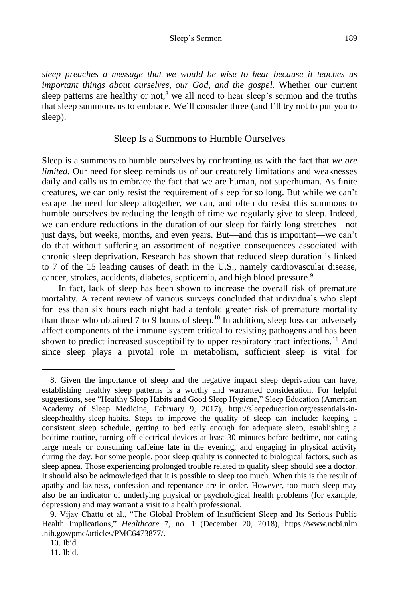*sleep preaches a message that we would be wise to hear because it teaches us important things about ourselves, our God, and the gospel.* Whether our current sleep patterns are healthy or not, $8$  we all need to hear sleep's sermon and the truths that sleep summons us to embrace. We'll consider three (and I'll try not to put you to sleep).

### Sleep Is a Summons to Humble Ourselves

Sleep is a summons to humble ourselves by confronting us with the fact that *we are limited*. Our need for sleep reminds us of our creaturely limitations and weaknesses daily and calls us to embrace the fact that we are human, not superhuman. As finite creatures, we can only resist the requirement of sleep for so long. But while we can't escape the need for sleep altogether, we can, and often do resist this summons to humble ourselves by reducing the length of time we regularly give to sleep. Indeed, we can endure reductions in the duration of our sleep for fairly long stretches—not just days, but weeks, months, and even years. But—and this is important—we can't do that without suffering an assortment of negative consequences associated with chronic sleep deprivation. Research has shown that reduced sleep duration is linked to 7 of the 15 leading causes of death in the U.S., namely cardiovascular disease, cancer, strokes, accidents, diabetes, septicemia, and high blood pressure.<sup>9</sup>

In fact, lack of sleep has been shown to increase the overall risk of premature mortality. A recent review of various surveys concluded that individuals who slept for less than six hours each night had a tenfold greater risk of premature mortality than those who obtained 7 to 9 hours of sleep.<sup>10</sup> In addition, sleep loss can adversely affect components of the immune system critical to resisting pathogens and has been shown to predict increased susceptibility to upper respiratory tract infections.<sup>11</sup> And since sleep plays a pivotal role in metabolism, sufficient sleep is vital for

<sup>8.</sup> Given the importance of sleep and the negative impact sleep deprivation can have, establishing healthy sleep patterns is a worthy and warranted consideration. For helpful suggestions, see "Healthy Sleep Habits and Good Sleep Hygiene," Sleep Education (American Academy of Sleep Medicine, February 9, 2017), http://sleepeducation.org/essentials-insleep/healthy-sleep-habits. Steps to improve the quality of sleep can include: keeping a consistent sleep schedule, getting to bed early enough for adequate sleep, establishing a bedtime routine, turning off electrical devices at least 30 minutes before bedtime, not eating large meals or consuming caffeine late in the evening, and engaging in physical activity during the day. For some people, poor sleep quality is connected to biological factors, such as sleep apnea. Those experiencing prolonged trouble related to quality sleep should see a doctor. It should also be acknowledged that it is possible to sleep too much. When this is the result of apathy and laziness, confession and repentance are in order. However, too much sleep may also be an indicator of underlying physical or psychological health problems (for example, depression) and may warrant a visit to a health professional.

<sup>9.</sup> Vijay Chattu et al., "The Global Problem of Insufficient Sleep and Its Serious Public Health Implications," *Healthcare* 7, no. 1 (December 20, 2018), https://www.ncbi.nlm .nih.gov/pmc/articles/PMC6473877/.

<sup>10.</sup> Ibid.

<sup>11.</sup> Ibid.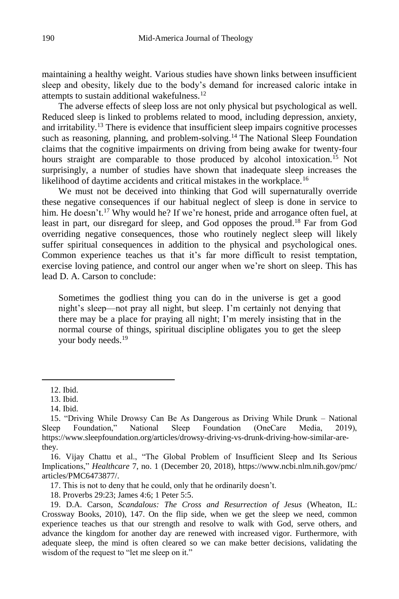maintaining a healthy weight. Various studies have shown links between insufficient sleep and obesity, likely due to the body's demand for increased caloric intake in attempts to sustain additional wakefulness.<sup>12</sup>

The adverse effects of sleep loss are not only physical but psychological as well. Reduced sleep is linked to problems related to mood, including depression, anxiety, and irritability.<sup>13</sup> There is evidence that insufficient sleep impairs cognitive processes such as reasoning, planning, and problem-solving.<sup>14</sup> The National Sleep Foundation claims that the cognitive impairments on driving from being awake for twenty-four hours straight are comparable to those produced by alcohol intoxication.<sup>15</sup> Not surprisingly, a number of studies have shown that inadequate sleep increases the likelihood of daytime accidents and critical mistakes in the workplace.<sup>16</sup>

We must not be deceived into thinking that God will supernaturally override these negative consequences if our habitual neglect of sleep is done in service to him. He doesn't.<sup>17</sup> Why would he? If we're honest, pride and arrogance often fuel, at least in part, our disregard for sleep, and God opposes the proud. <sup>18</sup> Far from God overriding negative consequences, those who routinely neglect sleep will likely suffer spiritual consequences in addition to the physical and psychological ones. Common experience teaches us that it's far more difficult to resist temptation, exercise loving patience, and control our anger when we're short on sleep. This has lead D. A. Carson to conclude:

Sometimes the godliest thing you can do in the universe is get a good night's sleep—not pray all night, but sleep. I'm certainly not denying that there may be a place for praying all night; I'm merely insisting that in the normal course of things, spiritual discipline obligates you to get the sleep your body needs.<sup>19</sup>

<sup>12.</sup> Ibid.

<sup>13.</sup> Ibid.

<sup>14.</sup> Ibid.

<sup>15.</sup> "Driving While Drowsy Can Be As Dangerous as Driving While Drunk – National Sleep Foundation," National Sleep Foundation (OneCare Media, 2019), https://www.sleepfoundation.org/articles/drowsy-driving-vs-drunk-driving-how-similar-arethey.

<sup>16.</sup> Vijay Chattu et al., "The Global Problem of Insufficient Sleep and Its Serious Implications," *Healthcare* 7, no. 1 (December 20, 2018), https://www.ncbi.nlm.nih.gov/pmc/ articles/PMC6473877/.

<sup>17.</sup> This is not to deny that he could, only that he ordinarily doesn't.

<sup>18.</sup> Proverbs 29:23; James 4:6; 1 Peter 5:5.

<sup>19.</sup> D.A. Carson, *Scandalous: The Cross and Resurrection of Jesus* (Wheaton, IL: Crossway Books, 2010), 147. On the flip side, when we get the sleep we need, common experience teaches us that our strength and resolve to walk with God, serve others, and advance the kingdom for another day are renewed with increased vigor. Furthermore, with adequate sleep, the mind is often cleared so we can make better decisions, validating the wisdom of the request to "let me sleep on it."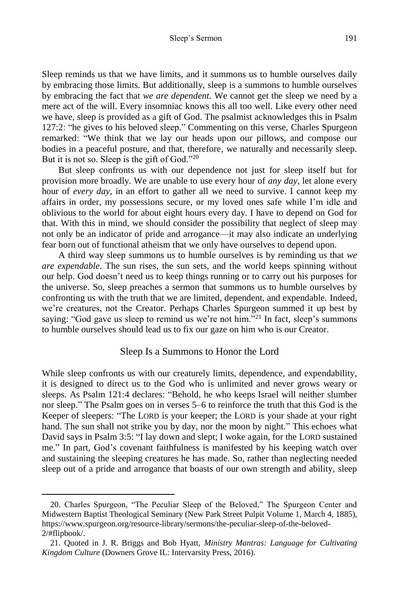Sleep reminds us that we have limits, and it summons us to humble ourselves daily by embracing those limits. But additionally, sleep is a summons to humble ourselves by embracing the fact that *we are dependent.* We cannot get the sleep we need by a mere act of the will. Every insomniac knows this all too well. Like every other need we have, sleep is provided as a gift of God. The psalmist acknowledges this in Psalm 127:2: "he gives to his beloved sleep." Commenting on this verse, Charles Spurgeon remarked: "We think that we lay our heads upon our pillows, and compose our bodies in a peaceful posture, and that, therefore, we naturally and necessarily sleep. But it is not so. Sleep is the gift of God."<sup>20</sup>

But sleep confronts us with our dependence not just for sleep itself but for provision more broadly. We are unable to use every hour of *any day*, let alone every hour of *every day*, in an effort to gather all we need to survive. I cannot keep my affairs in order, my possessions secure, or my loved ones safe while I'm idle and oblivious to the world for about eight hours every day. I have to depend on God for that. With this in mind, we should consider the possibility that neglect of sleep may not only be an indicator of pride and arrogance—it may also indicate an underlying fear born out of functional atheism that we only have ourselves to depend upon.

A third way sleep summons us to humble ourselves is by reminding us that *we are expendable*. The sun rises, the sun sets, and the world keeps spinning without our help. God doesn't need us to keep things running or to carry out his purposes for the universe. So, sleep preaches a sermon that summons us to humble ourselves by confronting us with the truth that we are limited, dependent, and expendable. Indeed, we're creatures, not the Creator. Perhaps Charles Spurgeon summed it up best by saying: "God gave us sleep to remind us we're not him."<sup>21</sup> In fact, sleep's summons to humble ourselves should lead us to fix our gaze on him who is our Creator.

#### Sleep Is a Summons to Honor the Lord

While sleep confronts us with our creaturely limits, dependence, and expendability, it is designed to direct us to the God who is unlimited and never grows weary or sleeps. As Psalm 121:4 declares: "Behold, he who keeps Israel will neither slumber nor sleep." The Psalm goes on in verses 5–6 to reinforce the truth that this God is the Keeper of sleepers: "The LORD is your keeper; the LORD is your shade at your right hand. The sun shall not strike you by day, nor the moon by night." This echoes what David says in Psalm 3:5: "I lay down and slept; I woke again, for the LORD sustained me." In part, God's covenant faithfulness is manifested by his keeping watch over and sustaining the sleeping creatures he has made. So, rather than neglecting needed sleep out of a pride and arrogance that boasts of our own strength and ability, sleep

<sup>20.</sup> Charles Spurgeon, "The Peculiar Sleep of the Beloved," The Spurgeon Center and Midwestern Baptist Theological Seminary (New Park Street Pulpit Volume 1, March 4, 1885), https://www.spurgeon.org/resource-library/sermons/the-peculiar-sleep-of-the-beloved-2/#flipbook/.

<sup>21.</sup> Quoted in J. R. Briggs and Bob Hyatt, *Ministry Mantras: Language for Cultivating Kingdom Culture* (Downers Grove IL: Intervarsity Press, 2016).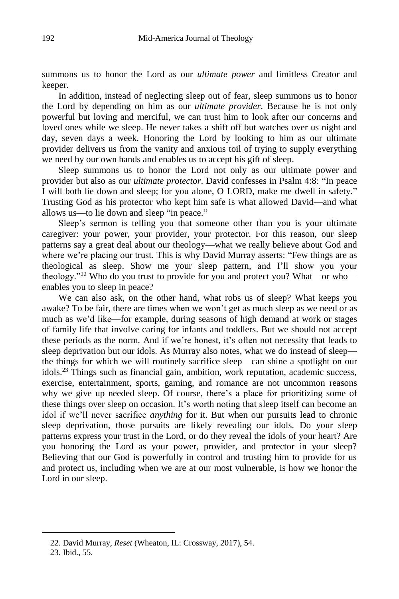summons us to honor the Lord as our *ultimate power* and limitless Creator and keeper.

In addition, instead of neglecting sleep out of fear, sleep summons us to honor the Lord by depending on him as our *ultimate provider*. Because he is not only powerful but loving and merciful, we can trust him to look after our concerns and loved ones while we sleep. He never takes a shift off but watches over us night and day, seven days a week. Honoring the Lord by looking to him as our ultimate provider delivers us from the vanity and anxious toil of trying to supply everything we need by our own hands and enables us to accept his gift of sleep.

Sleep summons us to honor the Lord not only as our ultimate power and provider but also as our *ultimate protector*. David confesses in Psalm 4:8: "In peace I will both lie down and sleep; for you alone, O LORD, make me dwell in safety." Trusting God as his protector who kept him safe is what allowed David—and what allows us—to lie down and sleep "in peace."

Sleep's sermon is telling you that someone other than you is your ultimate caregiver: your power, your provider, your protector. For this reason, our sleep patterns say a great deal about our theology—what we really believe about God and where we're placing our trust. This is why David Murray asserts: "Few things are as theological as sleep. Show me your sleep pattern, and I'll show you your theology."<sup>22</sup> Who do you trust to provide for you and protect you? What—or who enables you to sleep in peace?

We can also ask, on the other hand, what robs us of sleep? What keeps you awake? To be fair, there are times when we won't get as much sleep as we need or as much as we'd like—for example, during seasons of high demand at work or stages of family life that involve caring for infants and toddlers. But we should not accept these periods as the norm. And if we're honest, it's often not necessity that leads to sleep deprivation but our idols. As Murray also notes, what we do instead of sleep the things for which we will routinely sacrifice sleep—can shine a spotlight on our idols.<sup>23</sup> Things such as financial gain, ambition, work reputation, academic success, exercise, entertainment, sports, gaming, and romance are not uncommon reasons why we give up needed sleep. Of course, there's a place for prioritizing some of these things over sleep on occasion. It's worth noting that sleep itself can become an idol if we'll never sacrifice *anything* for it. But when our pursuits lead to chronic sleep deprivation, those pursuits are likely revealing our idols. Do your sleep patterns express your trust in the Lord, or do they reveal the idols of your heart? Are you honoring the Lord as your power, provider, and protector in your sleep? Believing that our God is powerfully in control and trusting him to provide for us and protect us, including when we are at our most vulnerable, is how we honor the Lord in our sleep.

<sup>22.</sup> David Murray, *Reset* (Wheaton, IL: Crossway, 2017), 54.

<sup>23.</sup> Ibid., 55.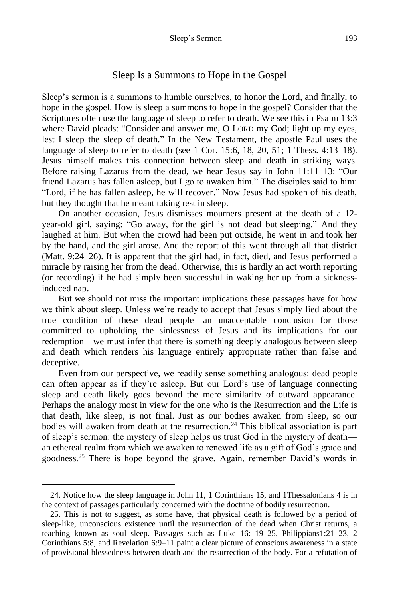## Sleep Is a Summons to Hope in the Gospel

Sleep's sermon is a summons to humble ourselves, to honor the Lord, and finally, to hope in the gospel. How is sleep a summons to hope in the gospel? Consider that the Scriptures often use the language of sleep to refer to death. We see this in Psalm 13:3 where David pleads: "Consider and answer me, O LORD my God; light up my eyes, lest I sleep the sleep of death." In the New Testament, the apostle Paul uses the language of sleep to refer to death (see 1 Cor. 15:6, 18, 20, 51; 1 Thess. 4:13–18). Jesus himself makes this connection between sleep and death in striking ways. Before raising Lazarus from the dead, we hear Jesus say in John 11:11–13: "Our friend Lazarus has fallen asleep, but I go to awaken him." The disciples said to him: "Lord, if he has fallen asleep, he will recover." Now Jesus had spoken of his death, but they thought that he meant taking rest in sleep.

On another occasion, Jesus dismisses mourners present at the death of a 12 year-old girl, saying: "Go away, for the girl is not dead but sleeping." And they laughed at him. But when the crowd had been put outside, he went in and took her by the hand, and the girl arose. And the report of this went through all that district (Matt. 9:24–26). It is apparent that the girl had, in fact, died, and Jesus performed a miracle by raising her from the dead. Otherwise, this is hardly an act worth reporting (or recording) if he had simply been successful in waking her up from a sicknessinduced nap.

But we should not miss the important implications these passages have for how we think about sleep. Unless we're ready to accept that Jesus simply lied about the true condition of these dead people—an unacceptable conclusion for those committed to upholding the sinlessness of Jesus and its implications for our redemption—we must infer that there is something deeply analogous between sleep and death which renders his language entirely appropriate rather than false and deceptive.

Even from our perspective, we readily sense something analogous: dead people can often appear as if they're asleep. But our Lord's use of language connecting sleep and death likely goes beyond the mere similarity of outward appearance. Perhaps the analogy most in view for the one who is the Resurrection and the Life is that death, like sleep, is not final. Just as our bodies awaken from sleep, so our bodies will awaken from death at the resurrection.<sup>24</sup> This biblical association is part of sleep's sermon: the mystery of sleep helps us trust God in the mystery of death an ethereal realm from which we awaken to renewed life as a gift of God's grace and goodness.<sup>25</sup> There is hope beyond the grave. Again, remember David's words in

<sup>24.</sup> Notice how the sleep language in John 11, 1 Corinthians 15, and 1Thessalonians 4 is in the context of passages particularly concerned with the doctrine of bodily resurrection.

<sup>25.</sup> This is not to suggest, as some have, that physical death is followed by a period of sleep-like, unconscious existence until the resurrection of the dead when Christ returns, a teaching known as soul sleep. Passages such as Luke 16: 19–25, Philippians1:21–23, 2 Corinthians 5:8, and Revelation 6:9–11 paint a clear picture of conscious awareness in a state of provisional blessedness between death and the resurrection of the body. For a refutation of